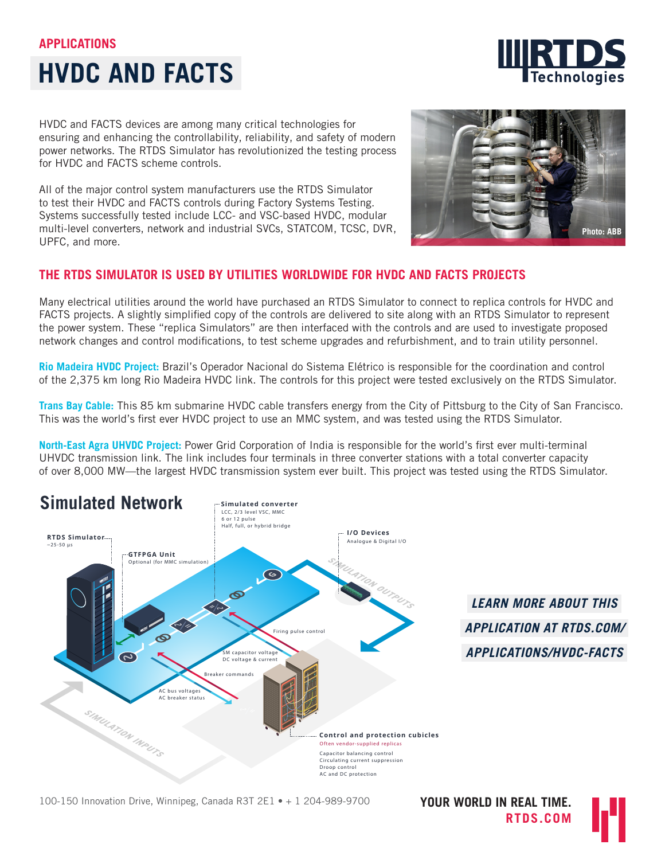# **APPLICATIONS**





HVDC and FACTS devices are among many critical technologies for ensuring and enhancing the controllability, reliability, and safety of modern power networks. The RTDS Simulator has revolutionized the testing process for HVDC and FACTS scheme controls.

All of the major control system manufacturers use the RTDS Simulator to test their HVDC and FACTS controls during Factory Systems Testing. Systems successfully tested include LCC- and VSC-based HVDC, modular multi-level converters, network and industrial SVCs, STATCOM, TCSC, DVR, UPFC, and more.



## **THE RTDS SIMULATOR IS USED BY UTILITIES WORLDWIDE FOR HVDC AND FACTS PROJECTS**

Many electrical utilities around the world have purchased an RTDS Simulator to connect to replica controls for HVDC and FACTS projects. A slightly simplified copy of the controls are delivered to site along with an RTDS Simulator to represent the power system. These "replica Simulators" are then interfaced with the controls and are used to investigate proposed network changes and control modifications, to test scheme upgrades and refurbishment, and to train utility personnel.

**Rio Madeira HVDC Project:** Brazil's Operador Nacional do Sistema Elétrico is responsible for the coordination and control of the 2,375 km long Rio Madeira HVDC link. The controls for this project were tested exclusively on the RTDS Simulator.

**Trans Bay Cable:** This 85 km submarine HVDC cable transfers energy from the City of Pittsburg to the City of San Francisco. This was the world's first ever HVDC project to use an MMC system, and was tested using the RTDS Simulator.

**North-East Agra UHVDC Project:** Power Grid Corporation of India is responsible for the world's first ever multi-terminal UHVDC transmission link. The link includes four terminals in three converter stations with a total converter capacity of over 8,000 MW—the largest HVDC transmission system ever built. This project was tested using the RTDS Simulator.



*LEARN MORE ABOUT THIS APPLICATION AT [RTDS.COM/](http://rtds.com/applications/hvdc-facts) [APPLICATIONS/HVDC-FACTS](http://rtds.com/applications/hvdc-facts)*

**Devices Under Test** 100-150 Innovation Drive, Winnipeg, Canada R3T 2E1 • + 1 204-989-9700

**YOUR WORLD IN REAL TIME. RTDS.COM**